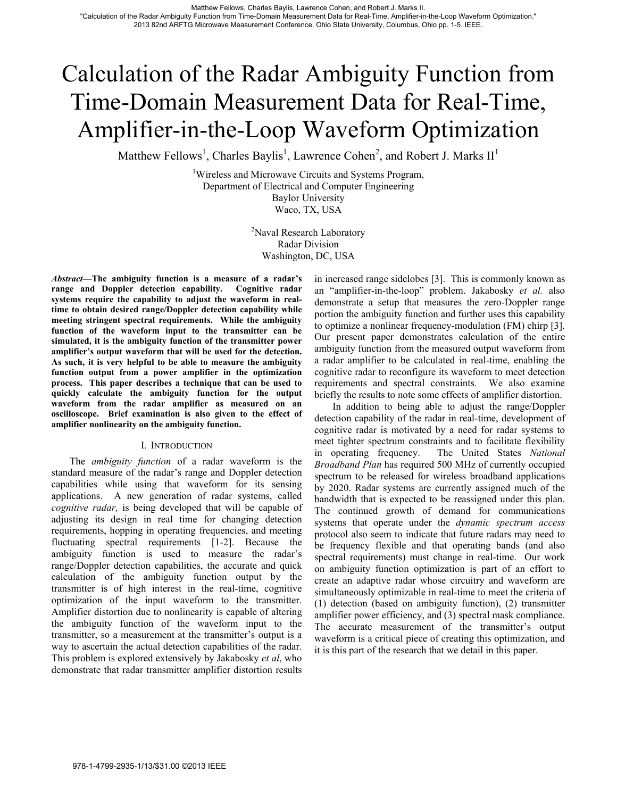# Calculation of the Radar Ambiguity Function from Time-Domain Measurement Data for Real-Time, Amplifier-in-the-Loop Waveform Optimization

Matthew Fellows<sup>1</sup>, Charles Baylis<sup>1</sup>, Lawrence Cohen<sup>2</sup>, and Robert J. Marks II<sup>1</sup>

<sup>1</sup>Wireless and Microwave Circuits and Systems Program, Department of Electrical and Computer Engineering Baylor University Waco, TX, USA

> <sup>2</sup>Naval Research Laboratory Radar Division Washington, DC, USA

*Abstract***—The ambiguity function is a measure of a radar's range and Doppler detection capability. Cognitive radar systems require the capability to adjust the waveform in realtime to obtain desired range/Doppler detection capability while meeting stringent spectral requirements. While the ambiguity function of the waveform input to the transmitter can be simulated, it is the ambiguity function of the transmitter power amplifier's output waveform that will be used for the detection. As such, it is very helpful to be able to measure the ambiguity function output from a power amplifier in the optimization process. This paper describes a technique that can be used to quickly calculate the ambiguity function for the output waveform from the radar amplifier as measured on an oscilloscope. Brief examination is also given to the effect of amplifier nonlinearity on the ambiguity function.** 

### I. INTRODUCTION

The *ambiguity function* of a radar waveform is the standard measure of the radar's range and Doppler detection capabilities while using that waveform for its sensing applications. A new generation of radar systems, called *cognitive radar,* is being developed that will be capable of adjusting its design in real time for changing detection requirements, hopping in operating frequencies, and meeting fluctuating spectral requirements [1-2]. Because the ambiguity function is used to measure the radar's range/Doppler detection capabilities, the accurate and quick calculation of the ambiguity function output by the transmitter is of high interest in the real-time, cognitive optimization of the input waveform to the transmitter. Amplifier distortion due to nonlinearity is capable of altering the ambiguity function of the waveform input to the transmitter, so a measurement at the transmitter's output is a way to ascertain the actual detection capabilities of the radar. This problem is explored extensively by Jakabosky *et al*, who demonstrate that radar transmitter amplifier distortion results Example the set of the Radiar American Cohen, and the Cone of the Radiar Cohen, and Radiar Cohen, and Radiar Cohen, and Radiar Cohen, and Radiar Cohen, and Radiar Cohen, and Radiar Cohen, and Radiar Cohen, and Radiar Cohe

in increased range sidelobes [3]. This is commonly known as an "amplifier-in-the-loop" problem. Jakabosky *et al.* also demonstrate a setup that measures the zero-Doppler range portion the ambiguity function and further uses this capability to optimize a nonlinear frequency-modulation (FM) chirp [3]. Our present paper demonstrates calculation of the entire ambiguity function from the measured output waveform from a radar amplifier to be calculated in real-time, enabling the cognitive radar to reconfigure its waveform to meet detection requirements and spectral constraints. We also examine briefly the results to note some effects of amplifier distortion.

In addition to being able to adjust the range/Doppler detection capability of the radar in real-time, development of cognitive radar is motivated by a need for radar systems to meet tighter spectrum constraints and to facilitate flexibility in operating frequency. The United States *National Broadband Plan* has required 500 MHz of currently occupied spectrum to be released for wireless broadband applications by 2020. Radar systems are currently assigned much of the bandwidth that is expected to be reassigned under this plan. The continued growth of demand for communications systems that operate under the *dynamic spectrum access* protocol also seem to indicate that future radars may need to be frequency flexible and that operating bands (and also spectral requirements) must change in real-time. Our work on ambiguity function optimization is part of an effort to create an adaptive radar whose circuitry and waveform are simultaneously optimizable in real-time to meet the criteria of (1) detection (based on ambiguity function), (2) transmitter amplifier power efficiency, and (3) spectral mask compliance. The accurate measurement of the transmitter's output waveform is a critical piece of creating this optimization, and it is this part of the research that we detail in this paper.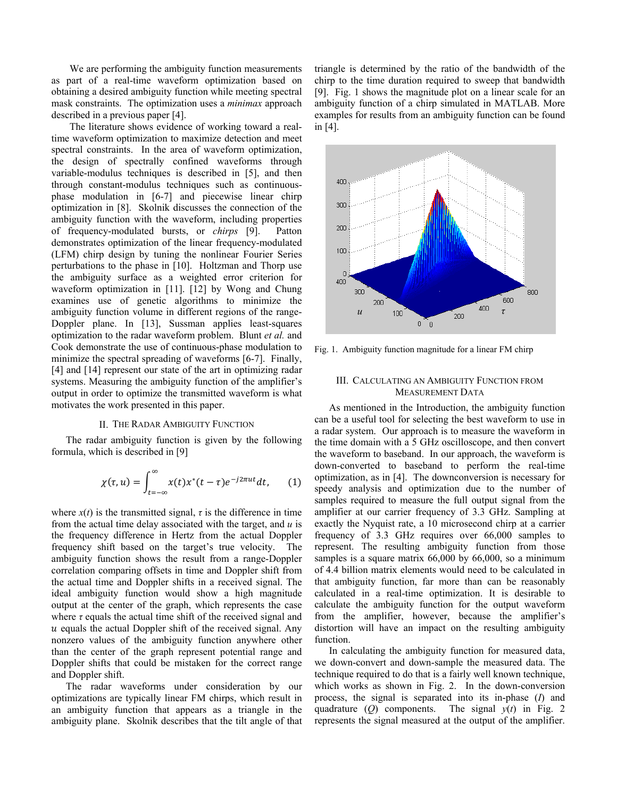We are performing the ambiguity function measurements as part of a real-time waveform optimization based on obtaining a desired ambiguity function while meeting spectral mask constraints. The optimization uses a *minimax* approach described in a previous paper [4].

The literature shows evidence of working toward a realtime waveform optimization to maximize detection and meet spectral constraints. In the area of waveform optimization, the design of spectrally confined waveforms through variable-modulus techniques is described in [5], and then through constant-modulus techniques such as continuousphase modulation in [6-7] and piecewise linear chirp optimization in [8]. Skolnik discusses the connection of the ambiguity function with the waveform, including properties of frequency-modulated bursts, or *chirps* [9]. Patton demonstrates optimization of the linear frequency-modulated (LFM) chirp design by tuning the nonlinear Fourier Series perturbations to the phase in [10]. Holtzman and Thorp use the ambiguity surface as a weighted error criterion for waveform optimization in [11]. [12] by Wong and Chung examines use of genetic algorithms to minimize the ambiguity function volume in different regions of the range-Doppler plane. In [13], Sussman applies least-squares optimization to the radar waveform problem. Blunt *et al.* and Cook demonstrate the use of continuous-phase modulation to minimize the spectral spreading of waveforms [6-7]. Finally, [4] and [14] represent our state of the art in optimizing radar systems. Measuring the ambiguity function of the amplifier's output in order to optimize the transmitted waveform is what motivates the work presented in this paper.

#### II. THE RADAR AMBIGUITY FUNCTION

The radar ambiguity function is given by the following formula, which is described in [9]

$$
\chi(\tau, u) = \int_{t=-\infty}^{\infty} x(t) x^*(t-\tau) e^{-j2\pi ut} dt, \qquad (1)
$$

where  $x(t)$  is the transmitted signal,  $\tau$  is the difference in time from the actual time delay associated with the target, and *u* is the frequency difference in Hertz from the actual Doppler frequency shift based on the target's true velocity. The ambiguity function shows the result from a range-Doppler correlation comparing offsets in time and Doppler shift from the actual time and Doppler shifts in a received signal. The ideal ambiguity function would show a high magnitude output at the center of the graph, which represents the case where  $\tau$  equals the actual time shift of the received signal and  $u$  equals the actual Doppler shift of the received signal. Any nonzero values of the ambiguity function anywhere other than the center of the graph represent potential range and Doppler shifts that could be mistaken for the correct range and Doppler shift.

The radar waveforms under consideration by our optimizations are typically linear FM chirps, which result in an ambiguity function that appears as a triangle in the ambiguity plane. Skolnik describes that the tilt angle of that triangle is determined by the ratio of the bandwidth of the chirp to the time duration required to sweep that bandwidth [9]. Fig. 1 shows the magnitude plot on a linear scale for an ambiguity function of a chirp simulated in MATLAB. More examples for results from an ambiguity function can be found in [4].



Fig. 1. Ambiguity function magnitude for a linear FM chirp

# III. CALCULATING AN AMBIGUITY FUNCTION FROM MEASUREMENT DATA

As mentioned in the Introduction, the ambiguity function can be a useful tool for selecting the best waveform to use in a radar system. Our approach is to measure the waveform in the time domain with a 5 GHz oscilloscope, and then convert the waveform to baseband. In our approach, the waveform is down-converted to baseband to perform the real-time optimization, as in [4]. The downconversion is necessary for speedy analysis and optimization due to the number of samples required to measure the full output signal from the amplifier at our carrier frequency of 3.3 GHz. Sampling at exactly the Nyquist rate, a 10 microsecond chirp at a carrier frequency of 3.3 GHz requires over 66,000 samples to represent. The resulting ambiguity function from those samples is a square matrix 66,000 by 66,000, so a minimum of 4.4 billion matrix elements would need to be calculated in that ambiguity function, far more than can be reasonably calculated in a real-time optimization. It is desirable to calculate the ambiguity function for the output waveform from the amplifier, however, because the amplifier's distortion will have an impact on the resulting ambiguity function.

In calculating the ambiguity function for measured data, we down-convert and down-sample the measured data. The technique required to do that is a fairly well known technique, which works as shown in Fig. 2. In the down-conversion process, the signal is separated into its in-phase (*I*) and quadrature (*Q*) components. The signal *y*(*t*) in Fig. 2 represents the signal measured at the output of the amplifier.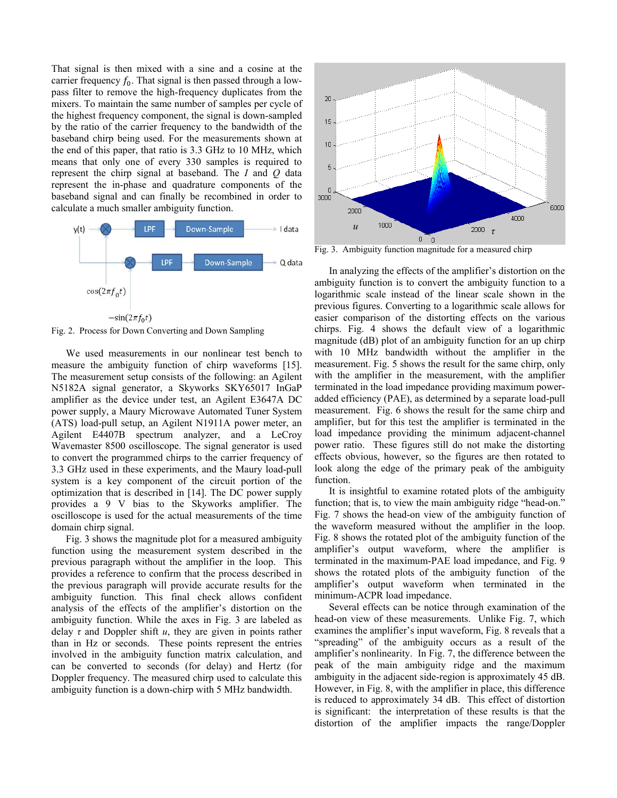That signal is then mixed with a sine and a cosine at the carrier frequency  $f_0$ . That signal is then passed through a lowpass filter to remove the high-frequency duplicates from the mixers. To maintain the same number of samples per cycle of the highest frequency component, the signal is down-sampled by the ratio of the carrier frequency to the bandwidth of the baseband chirp being used. For the measurements shown at the end of this paper, that ratio is 3.3 GHz to 10 MHz, which means that only one of every 330 samples is required to represent the chirp signal at baseband. The *I* and *Q* data represent the in-phase and quadrature components of the baseband signal and can finally be recombined in order to calculate a much smaller ambiguity function.



Fig. 2. Process for Down Converting and Down Sampling

We used measurements in our nonlinear test bench to measure the ambiguity function of chirp waveforms [15]. The measurement setup consists of the following: an Agilent N5182A signal generator, a Skyworks SKY65017 InGaP amplifier as the device under test, an Agilent E3647A DC power supply, a Maury Microwave Automated Tuner System (ATS) load-pull setup, an Agilent N1911A power meter, an Agilent E4407B spectrum analyzer, and a LeCroy Wavemaster 8500 oscilloscope. The signal generator is used to convert the programmed chirps to the carrier frequency of 3.3 GHz used in these experiments, and the Maury load-pull system is a key component of the circuit portion of the optimization that is described in [14]. The DC power supply provides a 9 V bias to the Skyworks amplifier. The oscilloscope is used for the actual measurements of the time domain chirp signal.

Fig. 3 shows the magnitude plot for a measured ambiguity function using the measurement system described in the previous paragraph without the amplifier in the loop. This provides a reference to confirm that the process described in the previous paragraph will provide accurate results for the ambiguity function. This final check allows confident analysis of the effects of the amplifier's distortion on the ambiguity function. While the axes in Fig. 3 are labeled as delay *τ* and Doppler shift *u*, they are given in points rather than in Hz or seconds. These points represent the entries involved in the ambiguity function matrix calculation, and can be converted to seconds (for delay) and Hertz (for Doppler frequency. The measured chirp used to calculate this ambiguity function is a down-chirp with 5 MHz bandwidth.



Fig. 3. Ambiguity function magnitude for a measured chirp

In analyzing the effects of the amplifier's distortion on the ambiguity function is to convert the ambiguity function to a logarithmic scale instead of the linear scale shown in the previous figures. Converting to a logarithmic scale allows for easier comparison of the distorting effects on the various chirps. Fig. 4 shows the default view of a logarithmic magnitude (dB) plot of an ambiguity function for an up chirp with 10 MHz bandwidth without the amplifier in the measurement. Fig. 5 shows the result for the same chirp, only with the amplifier in the measurement, with the amplifier terminated in the load impedance providing maximum poweradded efficiency (PAE), as determined by a separate load-pull measurement. Fig. 6 shows the result for the same chirp and amplifier, but for this test the amplifier is terminated in the load impedance providing the minimum adjacent-channel power ratio. These figures still do not make the distorting effects obvious, however, so the figures are then rotated to look along the edge of the primary peak of the ambiguity function.

It is insightful to examine rotated plots of the ambiguity function; that is, to view the main ambiguity ridge "head-on." Fig. 7 shows the head-on view of the ambiguity function of the waveform measured without the amplifier in the loop. Fig. 8 shows the rotated plot of the ambiguity function of the amplifier's output waveform, where the amplifier is terminated in the maximum-PAE load impedance, and Fig. 9 shows the rotated plots of the ambiguity function of the amplifier's output waveform when terminated in the minimum-ACPR load impedance.

Several effects can be notice through examination of the head-on view of these measurements. Unlike Fig. 7, which examines the amplifier's input waveform, Fig. 8 reveals that a "spreading" of the ambiguity occurs as a result of the amplifier's nonlinearity. In Fig. 7, the difference between the peak of the main ambiguity ridge and the maximum ambiguity in the adjacent side-region is approximately 45 dB. However, in Fig. 8, with the amplifier in place, this difference is reduced to approximately 34 dB. This effect of distortion is significant: the interpretation of these results is that the distortion of the amplifier impacts the range/Doppler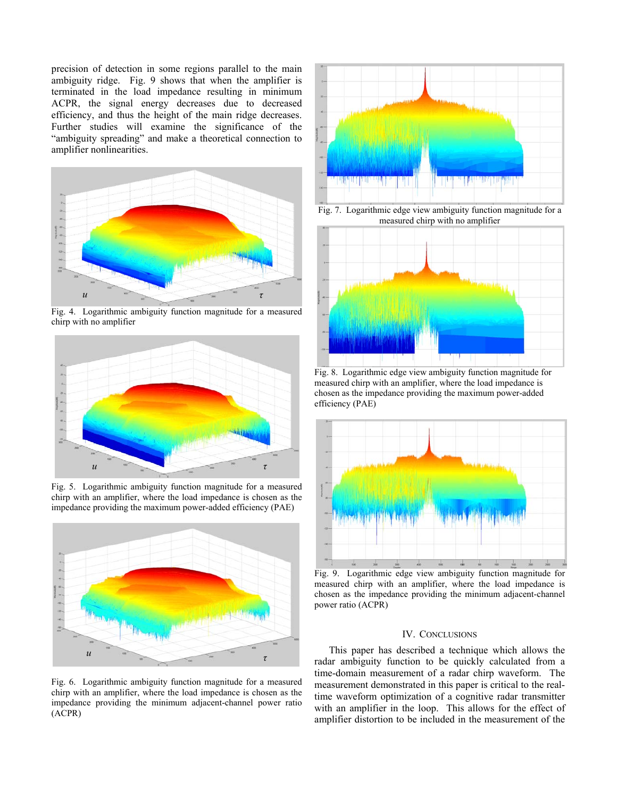precision of detection in some regions parallel to the main ambiguity ridge. Fig. 9 shows that when the amplifier is terminated in the load impedance resulting in minimum ACPR, the signal energy decreases due to decreased efficiency, and thus the height of the main ridge decreases. Further studies will examine the significance of the "ambiguity spreading" and make a theoretical connection to amplifier nonlinearities.



Fig. 4. Logarithmic ambiguity function magnitude for a measured chirp with no amplifier



Fig. 5. Logarithmic ambiguity function magnitude for a measured chirp with an amplifier, where the load impedance is chosen as the impedance providing the maximum power-added efficiency (PAE)



Fig. 6. Logarithmic ambiguity function magnitude for a measured chirp with an amplifier, where the load impedance is chosen as the impedance providing the minimum adjacent-channel power ratio (ACPR)



Fig. 7. Logarithmic edge view ambiguity function magnitude for a measured chirp with no amplifier



Fig. 8. Logarithmic edge view ambiguity function magnitude for measured chirp with an amplifier, where the load impedance is chosen as the impedance providing the maximum power-added efficiency (PAE)



Fig. 9. Logarithmic edge view ambiguity function magnitude for measured chirp with an amplifier, where the load impedance is chosen as the impedance providing the minimum adjacent-channel power ratio (ACPR)

# IV. CONCLUSIONS

This paper has described a technique which allows the radar ambiguity function to be quickly calculated from a time-domain measurement of a radar chirp waveform. The measurement demonstrated in this paper is critical to the realtime waveform optimization of a cognitive radar transmitter with an amplifier in the loop. This allows for the effect of amplifier distortion to be included in the measurement of the